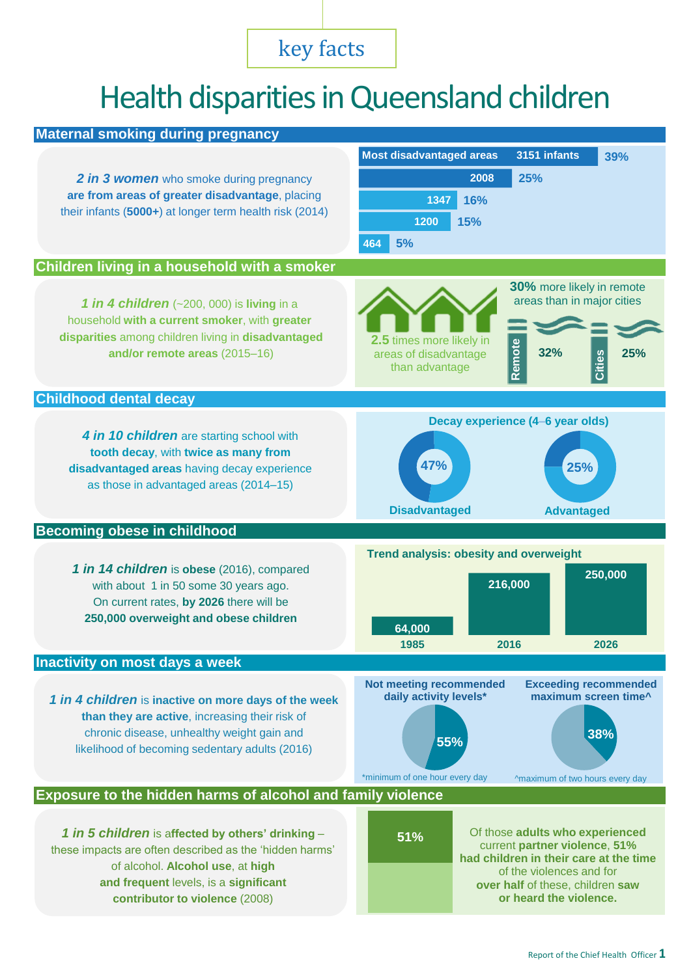# key facts

# Health disparities in Queensland children

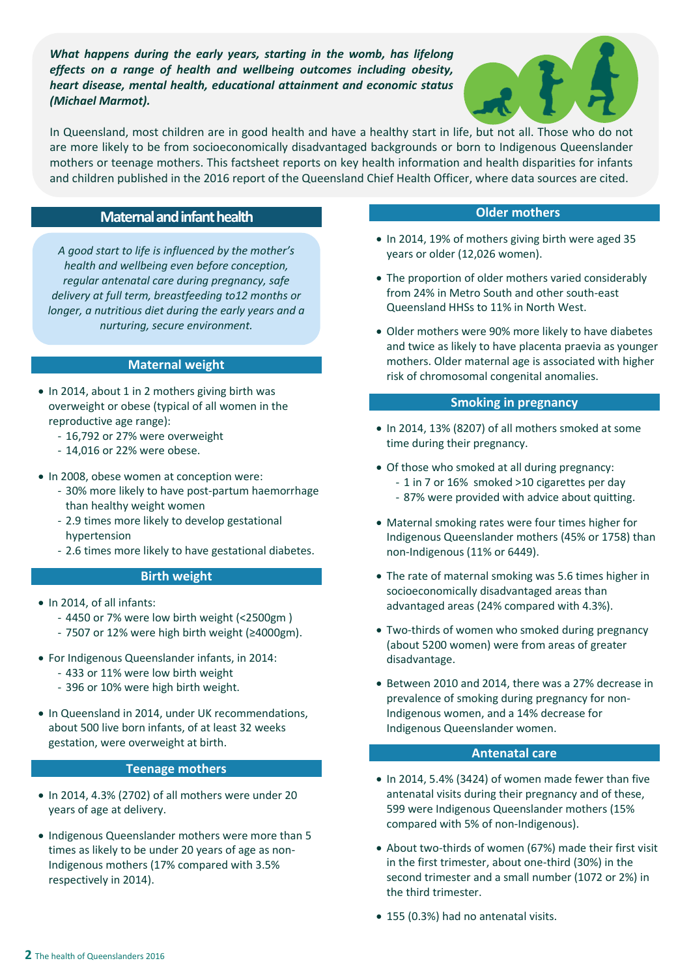*What happens during the early years, starting in the womb, has lifelong effects on a range of health and wellbeing outcomes including obesity, heart disease, mental health, educational attainment and economic status (Michael Marmot).*



In Queensland, most children are in good health and have a healthy start in life, but not all. Those who do not are more likely to be from socioeconomically disadvantaged backgrounds or born to Indigenous Queenslander mothers or teenage mothers. This factsheet reports on key health information and health disparities for infants and children published in the 2016 report of the Queensland Chief Health Officer, where data sources are cited.

## **Maternal and infant health**

*A good start to life is influenced by the mother's health and wellbeing even before conception, regular antenatal care during pregnancy, safe delivery at full term, breastfeeding to12 months or longer, a nutritious diet during the early years and a nurturing, secure environment.*

#### **Maternal weight**

- In 2014, about 1 in 2 mothers giving birth was overweight or obese (typical of all women in the reproductive age range):
	- 16,792 or 27% were overweight
	- 14,016 or 22% were obese.
- In 2008, obese women at conception were:
	- 30% more likely to have post-partum haemorrhage than healthy weight women
	- 2.9 times more likely to develop gestational hypertension
	- 2.6 times more likely to have gestational diabetes.

#### **Birth weight**

- In 2014, of all infants:
	- 4450 or 7% were low birth weight (<2500gm )
	- 7507 or 12% were high birth weight (≥4000gm).
- For Indigenous Queenslander infants, in 2014:
	- 433 or 11% were low birth weight
	- 396 or 10% were high birth weight.
- In Queensland in 2014, under UK recommendations, about 500 live born infants, of at least 32 weeks gestation, were overweight at birth.

#### **Teenage mothers**

- $\bullet$  In 2014, 4.3% (2702) of all mothers were under 20 years of age at delivery.
- Indigenous Queenslander mothers were more than 5 times as likely to be under 20 years of age as non-Indigenous mothers (17% compared with 3.5% respectively in 2014).

#### **Older mothers**

- In 2014, 19% of mothers giving birth were aged 35 years or older (12,026 women).
- The proportion of older mothers varied considerably from 24% in Metro South and other south-east Queensland HHSs to 11% in North West.
- Older mothers were 90% more likely to have diabetes and twice as likely to have placenta praevia as younger mothers. Older maternal age is associated with higher risk of chromosomal congenital anomalies.

#### **Smoking in pregnancy**

- In 2014, 13% (8207) of all mothers smoked at some time during their pregnancy.
- Of those who smoked at all during pregnancy: - 1 in 7 or 16% smoked >10 cigarettes per day
	- 87% were provided with advice about quitting.
- Maternal smoking rates were four times higher for Indigenous Queenslander mothers (45% or 1758) than non-Indigenous (11% or 6449).
- The rate of maternal smoking was 5.6 times higher in socioeconomically disadvantaged areas than advantaged areas (24% compared with 4.3%).
- Two-thirds of women who smoked during pregnancy (about 5200 women) were from areas of greater disadvantage.
- Between 2010 and 2014, there was a 27% decrease in prevalence of smoking during pregnancy for non-Indigenous women, and a 14% decrease for Indigenous Queenslander women.

#### **Antenatal care**

- In 2014, 5.4% (3424) of women made fewer than five antenatal visits during their pregnancy and of these, 599 were Indigenous Queenslander mothers (15% compared with 5% of non-Indigenous).
- About two-thirds of women (67%) made their first visit in the first trimester, about one-third (30%) in the second trimester and a small number (1072 or 2%) in the third trimester.
- 155 (0.3%) had no antenatal visits.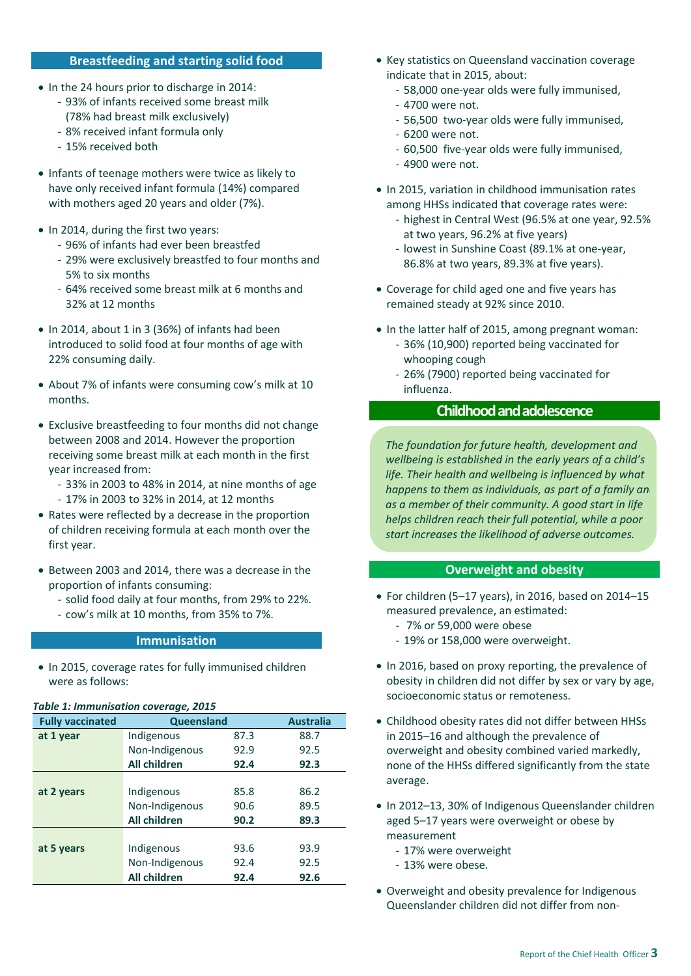#### **Breastfeeding and starting solid food**

- In the 24 hours prior to discharge in 2014:
	- 93% of infants received some breast milk (78% had breast milk exclusively)
	- 8% received infant formula only
	- 15% received both
- Infants of teenage mothers were twice as likely to have only received infant formula (14%) compared with mothers aged 20 years and older (7%).
- In 2014, during the first two years:
	- 96% of infants had ever been breastfed
	- 29% were exclusively breastfed to four months and 5% to six months
	- 64% received some breast milk at 6 months and 32% at 12 months
- In 2014, about 1 in 3 (36%) of infants had been introduced to solid food at four months of age with 22% consuming daily.
- About 7% of infants were consuming cow's milk at 10 months.
- Exclusive breastfeeding to four months did not change between 2008 and 2014. However the proportion receiving some breast milk at each month in the first year increased from:
	- 33% in 2003 to 48% in 2014, at nine months of age
	- 17% in 2003 to 32% in 2014, at 12 months
- Rates were reflected by a decrease in the proportion of children receiving formula at each month over the first year.
- Between 2003 and 2014, there was a decrease in the proportion of infants consuming:
	- solid food daily at four months, from 29% to 22%.
	- cow's milk at 10 months, from 35% to 7%.

#### **Immunisation**

• In 2015, coverage rates for fully immunised children were as follows:

#### *Table 1: Immunisation coverage, 2015*

| <b>Fully vaccinated</b> | Queensland     |      | <b>Australia</b> |
|-------------------------|----------------|------|------------------|
| at 1 year               | Indigenous     | 87.3 | 88.7             |
|                         | Non-Indigenous | 92.9 | 92.5             |
|                         | All children   | 92.4 | 92.3             |
|                         |                |      |                  |
| at 2 years              | Indigenous     | 85.8 | 86.2             |
|                         | Non-Indigenous | 90.6 | 89.5             |
|                         | All children   | 90.2 | 89.3             |
|                         |                |      |                  |
| at 5 years              | Indigenous     | 93.6 | 93.9             |
|                         | Non-Indigenous | 92.4 | 92.5             |
|                         | All children   | 92.4 | 92.6             |

- Key statistics on Queensland vaccination coverage indicate that in 2015, about:
	- 58,000 one-year olds were fully immunised,
	- 4700 were not.
	- 56,500 two-year olds were fully immunised,
	- 6200 were not.
	- 60,500 five-year olds were fully immunised,
	- 4900 were not.
- In 2015, variation in childhood immunisation rates among HHSs indicated that coverage rates were:
	- highest in Central West (96.5% at one year, 92.5% at two years, 96.2% at five years)
	- lowest in Sunshine Coast (89.1% at one-year, 86.8% at two years, 89.3% at five years).
- Coverage for child aged one and five years has remained steady at 92% since 2010.
- In the latter half of 2015, among pregnant woman:
	- 36% (10,900) reported being vaccinated for whooping cough
	- 26% (7900) reported being vaccinated for influenza.

# **Childhood and adolescence**

*The foundation for future health, development and wellbeing is established in the early years of a child's life. Their health and wellbeing is influenced by what happens to them as individuals, as part of a family an as a member of their community. A good start in life helps children reach their full potential, while a poor start increases the likelihood of adverse outcomes.*

#### **Overweight and obesity**

- For children (5–17 years), in 2016, based on 2014–15 measured prevalence, an estimated:
	- 7% or 59,000 were obese
	- 19% or 158,000 were overweight.
- In 2016, based on proxy reporting, the prevalence of obesity in children did not differ by sex or vary by age, socioeconomic status or remoteness.
- Childhood obesity rates did not differ between HHSs in 2015–16 and although the prevalence of overweight and obesity combined varied markedly, none of the HHSs differed significantly from the state average.
- In 2012–13, 30% of Indigenous Queenslander children aged 5–17 years were overweight or obese by measurement
	- 17% were overweight
	- 13% were obese.
- Overweight and obesity prevalence for Indigenous Queenslander children did not differ from non-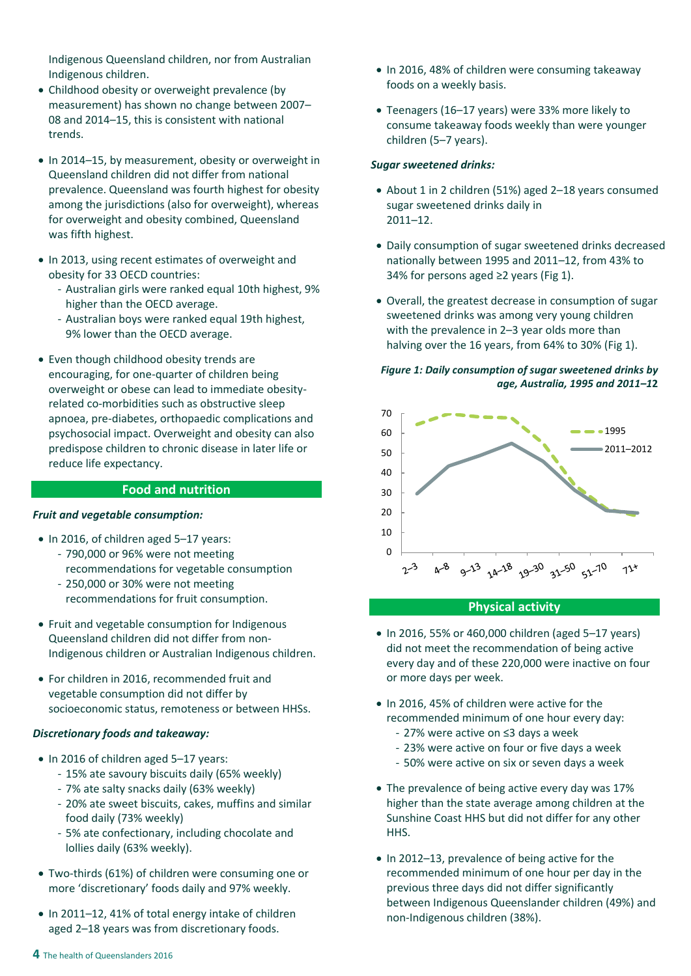Indigenous Queensland children, nor from Australian Indigenous children.

- Childhood obesity or overweight prevalence (by measurement) has shown no change between 2007– 08 and 2014–15, this is consistent with national trends.
- In 2014–15, by measurement, obesity or overweight in Queensland children did not differ from national prevalence. Queensland was fourth highest for obesity among the jurisdictions (also for overweight), whereas for overweight and obesity combined, Queensland was fifth highest.
- In 2013, using recent estimates of overweight and obesity for 33 OECD countries:
	- Australian girls were ranked equal 10th highest, 9% higher than the OECD average.
	- Australian boys were ranked equal 19th highest, 9% lower than the OECD average.
- Even though childhood obesity trends are encouraging, for one-quarter of children being overweight or obese can lead to immediate obesityrelated co-morbidities such as obstructive sleep apnoea, pre-diabetes, orthopaedic complications and psychosocial impact. Overweight and obesity can also predispose children to chronic disease in later life or reduce life expectancy.

## **Food and nutrition**

#### *Fruit and vegetable consumption:*

- In 2016, of children aged 5-17 years:
	- 790,000 or 96% were not meeting
	- recommendations for vegetable consumption
	- 250,000 or 30% were not meeting recommendations for fruit consumption.
- Fruit and vegetable consumption for Indigenous Queensland children did not differ from non-Indigenous children or Australian Indigenous children.
- For children in 2016, recommended fruit and vegetable consumption did not differ by socioeconomic status, remoteness or between HHSs.

#### *Discretionary foods and takeaway:*

- In 2016 of children aged 5-17 years:
	- 15% ate savoury biscuits daily (65% weekly)
	- 7% ate salty snacks daily (63% weekly)
	- 20% ate sweet biscuits, cakes, muffins and similar food daily (73% weekly)
	- 5% ate confectionary, including chocolate and lollies daily (63% weekly).
- Two-thirds (61%) of children were consuming one or more 'discretionary' foods daily and 97% weekly.
- In 2011–12, 41% of total energy intake of children aged 2–18 years was from discretionary foods.
- In 2016, 48% of children were consuming takeaway foods on a weekly basis.
- Teenagers (16–17 years) were 33% more likely to consume takeaway foods weekly than were younger children (5–7 years).

#### *Sugar sweetened drinks:*

- About 1 in 2 children (51%) aged 2–18 years consumed sugar sweetened drinks daily in 2011–12.
- Daily consumption of sugar sweetened drinks decreased nationally between 1995 and 2011–12, from 43% to 34% for persons aged ≥2 years (Fig 1).
- Overall, the greatest decrease in consumption of sugar sweetened drinks was among very young children with the prevalence in 2–3 year olds more than halving over the 16 years, from 64% to 30% (Fig 1).

#### *Figure 1: Daily consumption of sugar sweetened drinks by age, Australia, 1995 and 2011–1***2**



#### **Physical activity**

- In 2016, 55% or 460,000 children (aged 5-17 years) did not meet the recommendation of being active every day and of these 220,000 were inactive on four or more days per week.
- In 2016, 45% of children were active for the recommended minimum of one hour every day:
	- 27% were active on ≤3 days a week
	- 23% were active on four or five days a week
	- 50% were active on six or seven days a week
- The prevalence of being active every day was 17% higher than the state average among children at the Sunshine Coast HHS but did not differ for any other HHS.
- In 2012–13, prevalence of being active for the recommended minimum of one hour per day in the previous three days did not differ significantly between Indigenous Queenslander children (49%) and non-Indigenous children (38%).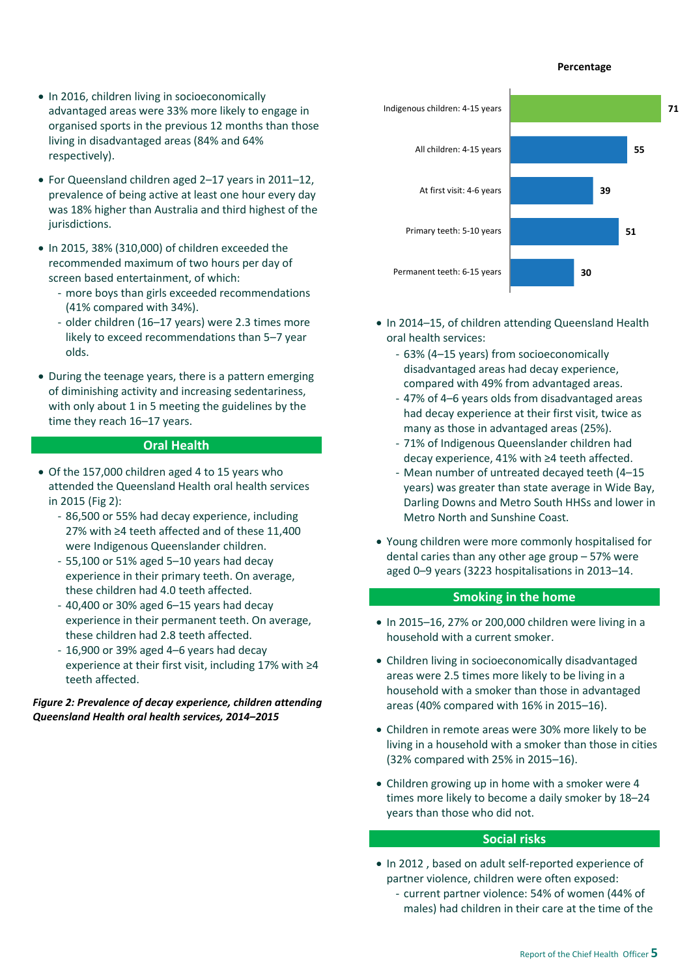#### **Percentage**

- In 2016, children living in socioeconomically advantaged areas were 33% more likely to engage in organised sports in the previous 12 months than those living in disadvantaged areas (84% and 64% respectively).
- For Queensland children aged 2–17 years in 2011–12, prevalence of being active at least one hour every day was 18% higher than Australia and third highest of the jurisdictions.
- $\bullet$  In 2015, 38% (310,000) of children exceeded the recommended maximum of two hours per day of screen based entertainment, of which:
	- more boys than girls exceeded recommendations (41% compared with 34%).
	- older children (16–17 years) were 2.3 times more likely to exceed recommendations than 5–7 year olds.
- During the teenage years, there is a pattern emerging of diminishing activity and increasing sedentariness, with only about 1 in 5 meeting the guidelines by the time they reach 16–17 years.

#### **Oral Health**

- Of the 157,000 children aged 4 to 15 years who attended the Queensland Health oral health services in 2015 (Fig 2):
	- 86,500 or 55% had decay experience, including 27% with ≥4 teeth affected and of these 11,400 were Indigenous Queenslander children.
	- 55,100 or 51% aged 5–10 years had decay experience in their primary teeth. On average, these children had 4.0 teeth affected.
	- 40,400 or 30% aged 6–15 years had decay experience in their permanent teeth. On average, these children had 2.8 teeth affected.
	- 16,900 or 39% aged 4–6 years had decay experience at their first visit, including 17% with ≥4 teeth affected.

#### *Figure 2: Prevalence of decay experience, children attending Queensland Health oral health services, 2014–2015*



- In 2014-15, of children attending Queensland Health oral health services:
	- 63% (4–15 years) from socioeconomically disadvantaged areas had decay experience, compared with 49% from advantaged areas.
	- 47% of 4–6 years olds from disadvantaged areas had decay experience at their first visit, twice as many as those in advantaged areas (25%).
	- 71% of Indigenous Queenslander children had decay experience, 41% with ≥4 teeth affected.
	- Mean number of untreated decayed teeth (4–15 years) was greater than state average in Wide Bay, Darling Downs and Metro South HHSs and lower in Metro North and Sunshine Coast.
- Young children were more commonly hospitalised for dental caries than any other age group – 57% were aged 0–9 years (3223 hospitalisations in 2013–14.

#### **Smoking in the home**

- In 2015–16, 27% or 200,000 children were living in a household with a current smoker.
- Children living in socioeconomically disadvantaged areas were 2.5 times more likely to be living in a household with a smoker than those in advantaged areas (40% compared with 16% in 2015–16).
- Children in remote areas were 30% more likely to be living in a household with a smoker than those in cities (32% compared with 25% in 2015–16).
- Children growing up in home with a smoker were 4 times more likely to become a daily smoker by 18–24 years than those who did not.

#### **Social risks**

- In 2012, based on adult self-reported experience of partner violence, children were often exposed:
	- current partner violence: 54% of women (44% of males) had children in their care at the time of the